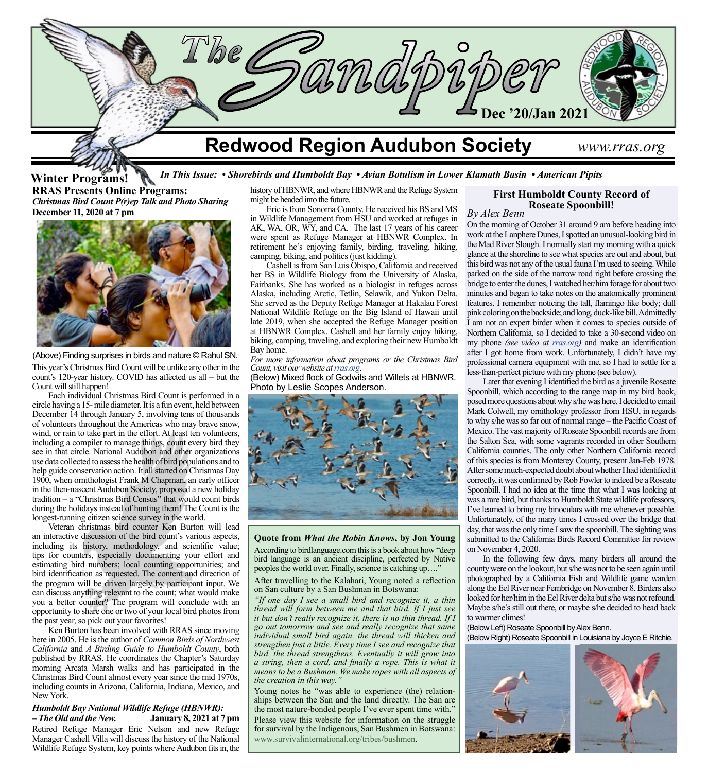

#### *In This Issue: • Shorebirds and Humboldt Bay • Avian Botulism in Lower Klamath Basin • American Pipits* **RRAS Presents Online Programs:** *Christmas Bird Count P(r)ep Talk and Photo Sharing* **December 11, 2020 at 7 pm Winter Programs!**



(Above) Finding surprises in birds and nature © Rahul SN.

This year's Christmas Bird Count will be unlike any other in the count's 120-year history. COVID has affected us all – but the Count will still happen!

Each individual Christmas Bird Count is performed in a circle having a 15- mile diameter. It is a fun event, held between December 14 through January 5, involving tens of thousands of volunteers throughout the Americas who may brave snow, wind, or rain to take part in the effort. At least ten volunteers, including a compiler to manage things, count every bird they see in that circle. National Audubon and other organizations use data collected to assess the health of bird populations and to help guide conservation action. It all started on Christmas Day 1900, when ornithologist Frank M Chapman, an early officer in the then-nascent Audubon Society, proposed a new holiday tradition – a "Christmas Bird Census" that would count birds during the holidays instead of hunting them! The Count is the longest-running citizen science survey in the world.

Veteran christmas bird counter Ken Burton will lead an interactive discussion of the bird count's various aspects, including its history, methodology, and scientific value; tips for counters, especially documenting your effort and estimating bird numbers; local counting opportunities; and bird identification as requested. The content and direction of the program will be driven largely by participant input. We can discuss anything relevant to the count; what would make you a better counter? The program will conclude with an opportunity to share one or two of your local bird photos from the past year, so pick out your favorites!

Ken Burton has been involved with RRAS since moving here in 2005. He is the author of *Common Birds of Northwest California* and *A Birding Guide to Humboldt County*, both published by RRAS. He coordinates the Chapter's Saturday morning Arcata Marsh walks and has participated in the Christmas Bird Count almost every year since the mid 1970s, including counts in Arizona, California, Indiana, Mexico, and New York.

#### *Humboldt Bay National Wildlife Refuge (HBNWR): – The Old and the New.* **January 8, 2021 at 7 pm**

Retired Refuge Manager Eric Nelson and new Refuge Manager Cashell Villa will discuss the history of the National Wildlife Refuge System, key points where Audubon fits in, the history of HBNWR, and where HBNWR and the Refuge System might be headed into the future.

Eric is from Sonoma County. He received his BS and MS in Wildlife Management from HSU and worked at refuges in AK, WA, OR, WY, and CA. The last 17 years of his career were spent as Refuge Manager at HBNWR Complex. In retirement he's enjoying family, birding, traveling, hiking, camping, biking, and politics (just kidding).

Cashell is from San Luis Obispo, California and received her BS in Wildlife Biology from the University of Alaska, Fairbanks. She has worked as a biologist in refuges across Alaska, including Arctic, Tetlin, Selawik, and Yukon Delta. She served as the Deputy Refuge Manager at Hakalau Forest National Wildlife Refuge on the Big Island of Hawaii until late 2019, when she accepted the Refuge Manager position at HBNWR Complex. Cashell and her family enjoy hiking, biking, camping, traveling, and exploring their new Humboldt Bay home.

*For more information about programs or the Christmas Bird Count, visit our website at [rras.org](http://www.rras.org/home.aspx).*

(Below) Mixed flock of Godwits and Willets at HBNWR. Photo by Leslie Scopes Anderson.



**Quote from** *What the Robin Knows***, by Jon Young** According to birdlanguage.com this is a book about how "deep bird language is an ancient discipline, perfected by Native peoples the world over. Finally, science is catching up…."

After travelling to the Kalahari, Young noted a reflection on San culture by a San Bushman in Botswana:

*"If one day I see a small bird and recognize it, a thin thread will form between me and that bird. If I just see it but don't really recognize it, there is no thin thread. If I go out tomorrow and see and really recognize that same individual small bird again, the thread will thicken and strengthen just a little. Every time I see and recognize that bird, the thread strengthens. Eventually it will grow into a string, then a cord, and finally a rope. This is what it means to be a Bushman. We make ropes with all aspects of the creation in this way."*

Young notes he "was able to experience (the) relationships between the San and the land directly. The San are the most nature-bonded people I've ever spent time with." Please view this website for information on the struggle for survival by the Indigenous, San Bushmen in Botswana: [www.survivalinternational.org/tribes/bushmen.](https://www.survivalinternational.org/tribes/bushmen )

# **First Humboldt County Record of**

**Roseate Spoonbill!** *By Alex Benn*

On the morning of October 31 around 9 am before heading into work at the Lanphere Dunes, I spotted an unusual-looking bird in the Mad River Slough. I normally start my morning with a quick glance at the shoreline to see what species are out and about, but this bird was not any of the usual fauna I'm used to seeing. While parked on the side of the narrow road right before crossing the bridge to enter the dunes, I watched her/him forage for about two minutes and began to take notes on the anatomically prominent features. I remember noticing the tall, flamingo like body; dull pink coloring on the backside; and long, duck-like bill. Admittedly I am not an expert birder when it comes to species outside of Northern California, so I decided to take a 30-second video on my phone *(see video at [rras.org](http://rras.org/home.aspx))* and make an identification after I got home from work. Unfortunately, I didn't have my professional camera equipment with me, so I had to settle for a less-than-perfect picture with my phone (see below).

Later that evening I identified the bird as a juvenile Roseate Spoonbill, which according to the range map in my bird book, posed more questions about why s/he was here. I decided to email Mark Colwell, my ornithology professor from HSU, in regards to why s/he was so far out of normal range – the Pacific Coast of Mexico.The vast majority of Roseate Spoonbill records are from the Salton Sea, with some vagrants recorded in other Southern California counties. The only other Northern California record of this species is from Monterey County, present Jan-Feb 1978. After some much-expected doubt about whether I had identified it correctly, it was confirmed by Rob Fowler to indeed be a Roseate Spoonbill. I had no idea at the time that what I was looking at was a rare bird, but thanks to Humboldt State wildlife professors, I've learned to bring my binoculars with me whenever possible. Unfortunately, of the many times I crossed over the bridge that day, that was the only time I saw the spoonbill. The sighting was submitted to the California Birds Record Committee for review on November 4, 2020.

In the following few days, many birders all around the county were on the lookout, but s/he was not to be seen again until photographed by a California Fish and Wildlife game warden along the Eel River near Fernbridge on November 8. Birders also looked for her/him in the Eel River delta but s/he was not refound. Maybe s/he's still out there, or maybe s/he decided to head back to warmer climes!

(Below Left) Roseate Spoonbill by Alex Benn. (Below Right) Roseate Spoonbill in Louisiana by Joyce E Ritchie.

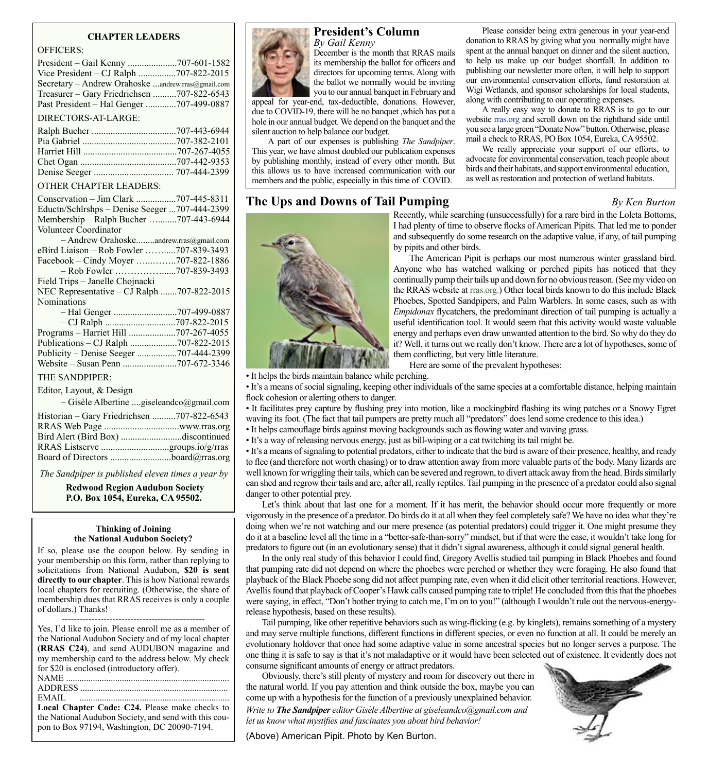#### **CHAPTER LEADERS**

| <b>OFFICERS:</b>                                  |  |
|---------------------------------------------------|--|
|                                                   |  |
| Vice President - CJ Ralph 707-822-2015            |  |
| Secretary - Andrew Orahoske andrew.rras@gmail.com |  |
| Treasurer – Gary Friedrichsen 707-822-6543        |  |
| Past President - Hal Genger 707-499-0887          |  |
| DIRECTORS-AT-LARGE:                               |  |
|                                                   |  |
|                                                   |  |
|                                                   |  |
|                                                   |  |
|                                                   |  |
| <b>OTHER CHAPTER LEADERS:</b>                     |  |
| Conservation - Jim Clark 707-445-8311             |  |
| Eductn/Schlrshps - Denise Seeger 707-444-2399     |  |
| Membership – Ralph Bucher 707-443-6944            |  |
| Volunteer Coordinator                             |  |
| - Andrew Orahoskeandrew.rras@gmail.com            |  |
| eBird Liaison – Rob Fowler 707-839-3493           |  |
| Facebook – Cindy Moyer 707-822-1886               |  |
|                                                   |  |
| Field Trips - Janelle Chojnacki                   |  |
| NEC Representative - CJ Ralph 707-822-2015        |  |
| Nominations                                       |  |
|                                                   |  |
| $C[0,1]$ $T(0,1)$ $T(0,1)$ $T(1,0)$               |  |

| THE SANDPIPER:           |  |
|--------------------------|--|
| Editor, Layout, & Design |  |

– Gisèle Albertine ....[giseleandco@gmail.com](mailto:giseleandco@gmail.com)

| Historian – Gary Friedrichsen 707-822-6543 |  |
|--------------------------------------------|--|
| Bird Alert (Bird Box) discontinued         |  |
|                                            |  |
| Board of Directors board@rras.org          |  |

*The Sandpiper is published eleven times a year by*

 **Redwood Region Audubon Society P.O. Box 1054, Eureka, CA 95502.**

#### **Thinking of Joining the National Audubon Society?**

If so, please use the coupon below. By sending in your membership on this form, rather than replying to solicitations from National Audubon, **\$20 is sent directly to our chapter**. This is how National rewards local chapters for recruiting. (Otherwise, the share of membership dues that RRAS receives is only a couple of dollars.) Thanks!

| Yes, I'd like to join. Please enroll me as a member of |  |
|--------------------------------------------------------|--|
| the National Audubon Society and of my local chapter   |  |
| (RRAS C24), and send AUDUBON magazine and              |  |
| my membership card to the address below. My check      |  |
| for \$20 is enclosed (introductory offer).             |  |
| .                                                      |  |
|                                                        |  |
| EMAIL                                                  |  |
| Local Chapter Code: C24. Please make checks to         |  |
| the National Audubon Society, and send with this cou-  |  |
| pon to Box 97194, Washington, DC 20090-7194.           |  |



# **President's Column**

*By Gail Kenny* December is the month that RRAS mails its membership the ballot for officers and directors for upcoming terms. Along with the ballot we normally would be inviting you to our annual banquet in February and

appeal for year-end, tax-deductible, donations. However, due to COVID-19, there will be no banquet ,which has put a hole in our annual budget. We depend on the banquet and the silent auction to help balance our budget.

A part of our expenses is publishing *The Sandpiper*. This year, we have almost doubled our publication expenses by publishing monthly, instead of every other month. But this allows us to have increased communication with our members and the public, especially in this time of COVID.

# **The Ups and Downs of Tail Pumping** *By Ken Burton*

Please consider being extra generous in your year-end donation to RRAS by giving what you normally might have spent at the annual banquet on dinner and the silent auction, to help us make up our budget shortfall. In addition to publishing our newsletter more often, it will help to support our environmental conservation efforts, fund restoration at Wigi Wetlands, and sponsor scholarships for local students, along with contributing to our operating expenses.

A really easy way to donate to RRAS is to go to our website [rras.org](http://rras.org/older_sandpipers.aspx) and scroll down on the righthand side until you see a large green "Donate Now" button. Otherwise, please mail a check to RRAS, PO Box 1054, Eureka, CA 95502.

We really appreciate your support of our efforts, to advocate for environmental conservation, teach people about birds and their habitats, and support environmental education, as well as restoration and protection of wetland habitats.



Recently, while searching (unsuccessfully) for a rare bird in the Loleta Bottoms, I had plenty of time to observe flocks of American Pipits. That led me to ponder and subsequently do some research on the adaptive value, if any, of tail pumping by pipits and other birds.

The American Pipit is perhaps our most numerous winter grassland bird. Anyone who has watched walking or perched pipits has noticed that they continually pump their tails up and down for no obvious reason. (See my video on the RRAS website at [rras.org.](http://www.rras.org/home.aspx)) Other local birds known to do this include Black Phoebes, Spotted Sandpipers, and Palm Warblers. In some cases, such as with *Empidonax* flycatchers, the predominant direction of tail pumping is actually a useful identification tool. It would seem that this activity would waste valuable energy and perhaps even draw unwanted attention to the bird. So why do they do it? Well, it turns out we really don't know. There are a lot of hypotheses, some of them conflicting, but very little literature.

Here are some of the prevalent hypotheses:

• It helps the birds maintain balance while perching.

• It's a means of social signaling, keeping other individuals of the same species at a comfortable distance, helping maintain flock cohesion or alerting others to danger.

• It facilitates prey capture by flushing prey into motion, like a mockingbird flashing its wing patches or a Snowy Egret waving its foot. (The fact that tail pumpers are pretty much all "predators" does lend some credence to this idea.)

• It helps camouflage birds against moving backgrounds such as flowing water and waving grass.

• It's a way of releasing nervous energy, just as bill-wiping or a cat twitching its tail might be.

• It's a means of signaling to potential predators, either to indicate that the bird is aware of their presence, healthy, and ready to flee (and therefore not worth chasing) or to draw attention away from more valuable parts of the body. Many lizards are well known for wriggling their tails, which can be severed and regrown, to divert attack away from the head. Birds similarly can shed and regrow their tails and are, after all, really reptiles. Tail pumping in the presence of a predator could also signal danger to other potential prey.

Let's think about that last one for a moment. If it has merit, the behavior should occur more frequently or more vigorously in the presence of a predator. Do birds do it at all when they feel completely safe? We have no idea what they're doing when we're not watching and our mere presence (as potential predators) could trigger it. One might presume they do it at a baseline level all the time in a "better-safe-than-sorry" mindset, but if that were the case, it wouldn't take long for predators to figure out (in an evolutionary sense) that it didn't signal awareness, although it could signal general health.

In the only real study of this behavior I could find, Gregory Avellis studied tail pumping in Black Phoebes and found that pumping rate did not depend on where the phoebes were perched or whether they were foraging. He also found that playback of the Black Phoebe song did not affect pumping rate, even when it did elicit other territorial reactions. However, Avellis found that playback of Cooper's Hawk calls caused pumping rate to triple! He concluded from this that the phoebes were saying, in effect, "Don't bother trying to catch me, I'm on to you!" (although I wouldn't rule out the nervous-energyrelease hypothesis, based on these results).

Tail pumping, like other repetitive behaviors such as wing-flicking (e.g. by kinglets), remains something of a mystery and may serve multiple functions, different functions in different species, or even no function at all. It could be merely an evolutionary holdover that once had some adaptive value in some ancestral species but no longer serves a purpose. The one thing it is safe to say is that it's not maladaptive or it would have been selected out of existence. It evidently does not consume significant amounts of energy or attract predators.

Obviously, there's still plenty of mystery and room for discovery out there in the natural world. If you pay attention and think outside the box, maybe you can come up with a hypothesis for the function of a previously unexplained behavior. *Write to The Sandpiper editor Gisèle Albertine at giseleandco@gmail.com and let us know what mystifies and fascinates you about bird behavior!*



(Above) American Pipit. Photo by Ken Burton.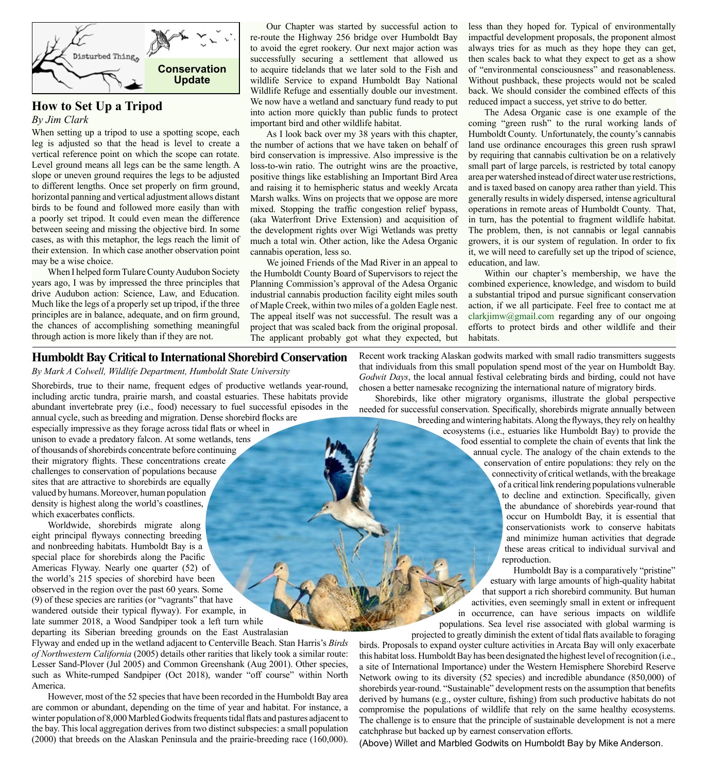

# **How to Set Up a Tripod**

*By Jim Clark*

When setting up a tripod to use a spotting scope, each leg is adjusted so that the head is level to create a vertical reference point on which the scope can rotate. Level ground means all legs can be the same length. A slope or uneven ground requires the legs to be adjusted to different lengths. Once set properly on firm ground, horizontal panning and vertical adjustment allows distant birds to be found and followed more easily than with a poorly set tripod. It could even mean the difference between seeing and missing the objective bird. In some cases, as with this metaphor, the legs reach the limit of their extension. In which case another observation point may be a wise choice.

When I helped form Tulare County Audubon Society years ago, I was by impressed the three principles that drive Audubon action: Science, Law, and Education. Much like the legs of a properly set up tripod, if the three principles are in balance, adequate, and on firm ground, the chances of accomplishing something meaningful through action is more likely than if they are not.

Our Chapter was started by successful action to re-route the Highway 256 bridge over Humboldt Bay to avoid the egret rookery. Our next major action was successfully securing a settlement that allowed us to acquire tidelands that we later sold to the Fish and wildlife Service to expand Humboldt Bay National Wildlife Refuge and essentially double our investment. We now have a wetland and sanctuary fund ready to put into action more quickly than public funds to protect important bird and other wildlife habitat.

As I look back over my 38 years with this chapter, the number of actions that we have taken on behalf of bird conservation is impressive. Also impressive is the loss-to-win ratio. The outright wins are the proactive, positive things like establishing an Important Bird Area and raising it to hemispheric status and weekly Arcata Marsh walks. Wins on projects that we oppose are more mixed. Stopping the traffic congestion relief bypass, (aka Waterfront Drive Extension) and acquisition of the development rights over Wigi Wetlands was pretty much a total win. Other action, like the Adesa Organic cannabis operation, less so.

We joined Friends of the Mad River in an appeal to the Humboldt County Board of Supervisors to reject the Planning Commission's approval of the Adesa Organic industrial cannabis production facility eight miles south of Maple Creek, within two miles of a golden Eagle nest. The appeal itself was not successful. The result was a project that was scaled back from the original proposal. The applicant probably got what they expected, but less than they hoped for. Typical of environmentally impactful development proposals, the proponent almost always tries for as much as they hope they can get, then scales back to what they expect to get as a show of "environmental consciousness" and reasonableness. Without pushback, these projects would not be scaled back. We should consider the combined effects of this reduced impact a success, yet strive to do better.

The Adesa Organic case is one example of the coming "green rush" to the rural working lands of Humboldt County. Unfortunately, the county's cannabis land use ordinance encourages this green rush sprawl by requiring that cannabis cultivation be on a relatively small part of large parcels, is restricted by total canopy area per watershed instead of direct water use restrictions, and is taxed based on canopy area rather than yield. This generally results in widely dispersed, intense agricultural operations in remote areas of Humboldt County. That, in turn, has the potential to fragment wildlife habitat. The problem, then, is not cannabis or legal cannabis growers, it is our system of regulation. In order to fix it, we will need to carefully set up the tripod of science, education, and law.

Within our chapter's membership, we have the combined experience, knowledge, and wisdom to build a substantial tripod and pursue significant conservation action, if we all participate. Feel free to contact me at clarkjimw@gmail.com regarding any of our ongoing efforts to protect birds and other wildlife and their habitats.

#### **Humboldt Bay Critical to International Shorebird Conservation**

*By Mark A Colwell, Wildlife Department, Humboldt State University*

Shorebirds, true to their name, frequent edges of productive wetlands year-round, including arctic tundra, prairie marsh, and coastal estuaries. These habitats provide abundant invertebrate prey (i.e., food) necessary to fuel successful episodes in the

annual cycle, such as breeding and migration. Dense shorebird flocks are especially impressive as they forage across tidal flats or wheel in unison to evade a predatory falcon. At some wetlands, tens of thousands of shorebirds concentrate before continuing their migratory flights. These concentrations create challenges to conservation of populations because sites that are attractive to shorebirds are equally valued by humans. Moreover, human population density is highest along the world's coastlines, which exacerbates conflicts.

Worldwide, shorebirds migrate along eight principal flyways connecting breeding and nonbreeding habitats. Humboldt Bay is a special place for shorebirds along the Pacific Americas Flyway. Nearly one quarter (52) of the world's 215 species of shorebird have been observed in the region over the past 60 years. Some (9) of these species are rarities (or "vagrants" that have wandered outside their typical flyway). For example, in late summer 2018, a Wood Sandpiper took a left turn while departing its Siberian breeding grounds on the East Australasian

Flyway and ended up in the wetland adjacent to Centerville Beach. Stan Harris's *Birds of Northwestern California* (2005) details other rarities that likely took a similar route: Lesser Sand-Plover (Jul 2005) and Common Greenshank (Aug 2001). Other species, such as White-rumped Sandpiper (Oct 2018), wander "off course" within North America.

However, most of the 52 species that have been recorded in the Humboldt Bay area are common or abundant, depending on the time of year and habitat. For instance, a winter population of 8,000 Marbled Godwits frequents tidal flats and pastures adjacent to the bay. This local aggregation derives from two distinct subspecies: a small population (2000) that breeds on the Alaskan Peninsula and the prairie-breeding race (160,000). Recent work tracking Alaskan godwits marked with small radio transmitters suggests that individuals from this small population spend most of the year on Humboldt Bay. *Godwit Days*, the local annual festival celebrating birds and birding, could not have chosen a better namesake recognizing the international nature of migratory birds.

Shorebirds, like other migratory organisms, illustrate the global perspective needed for successful conservation. Specifically, shorebirds migrate annually between

breeding and wintering habitats. Along the flyways, they rely on healthy ecosystems (i.e., estuaries like Humboldt Bay) to provide the food essential to complete the chain of events that link the annual cycle. The analogy of the chain extends to the conservation of entire populations: they rely on the connectivity of critical wetlands, with the breakage of a critical link rendering populations vulnerable to decline and extinction. Specifically, given the abundance of shorebirds year-round that occur on Humboldt Bay, it is essential that conservationists work to conserve habitats and minimize human activities that degrade these areas critical to individual survival and reproduction.

Humboldt Bay is a comparatively "pristine" estuary with large amounts of high-quality habitat that support a rich shorebird community. But human activities, even seemingly small in extent or infrequent in occurrence, can have serious impacts on wildlife populations. Sea level rise associated with global warming is

projected to greatly diminish the extent of tidal flats available to foraging birds. Proposals to expand oyster culture activities in Arcata Bay will only exacerbate this habitat loss. Humboldt Bay has been designated the highest level of recognition (i.e., a site of International Importance) under the Western Hemisphere Shorebird Reserve Network owing to its diversity (52 species) and incredible abundance (850,000) of shorebirds year-round. "Sustainable" development rests on the assumption that benefits derived by humans (e.g., oyster culture, fishing) from such productive habitats do not compromise the populations of wildlife that rely on the same healthy ecosystems. The challenge is to ensure that the principle of sustainable development is not a mere catchphrase but backed up by earnest conservation efforts.

(Above) Willet and Marbled Godwits on Humboldt Bay by Mike Anderson.